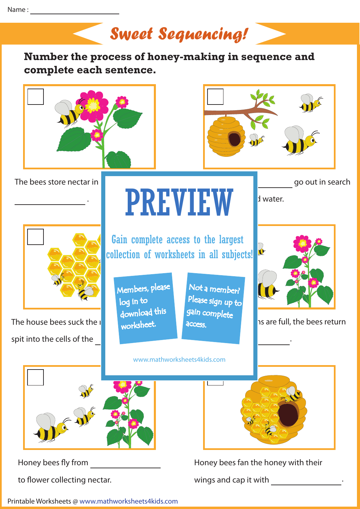

Honey bees fly from

to flower collecting nectar.

Honey bees fan the honey with their

wings and cap it with  $\cdot$  .

Printable Worksheets @ www.mathworksheets4kids.com